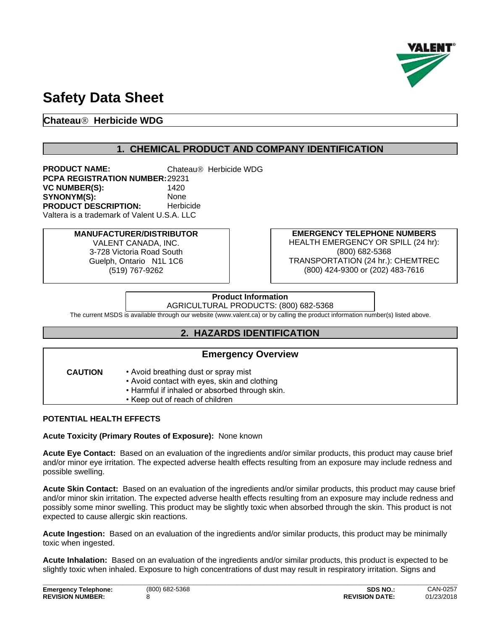

# **Safety Data Sheet**

# **ChateauÒ Herbicide WDG**

# **1. CHEMICAL PRODUCT AND COMPANY IDENTIFICATION**

**PRODUCT NAME:** Chateau<sup>®</sup> Herbicide WDG **PCPA REGISTRATION NUMBER:**29231 **VC NUMBER(S):** SYNONYM(S): None **PRODUCT DESCRIPTION:** Herbicide Valtera is a trademark of Valent U.S.A. LLC

> **MANUFACTURER/DISTRIBUTOR** VALENT CANADA, INC. 3-728 Victoria Road South Guelph, Ontario N1L 1C6 (519) 767-9262

**EMERGENCY TELEPHONE NUMBERS** HEALTH EMERGENCY OR SPILL (24 hr): (800) 682-5368 TRANSPORTATION (24 hr.): CHEMTREC (800) 424-9300 or (202) 483-7616

# **Product Information**

AGRICULTURAL PRODUCTS: (800) 682-5368

The current MSDS is available through our website (www.valent.ca) or by calling the product information number(s) listed above.

# **2. HAZARDS IDENTIFICATION**

### **Emergency Overview**

- **CAUTION** Avoid breathing dust or spray mist example to the example of  $\sim$ 
	- Avoid contact with eyes, skin and clothing
	- Harmful if inhaled or absorbed through skin.
	- Keep out of reach of children

### **POTENTIAL HEALTH EFFECTS**

**Acute Toxicity (Primary Routes of Exposure):** None known

**Acute Eye Contact:** Based on an evaluation of the ingredients and/or similar products, this product may cause brief and/or minor eye irritation. The expected adverse health effects resulting from an exposure may include redness and possible swelling.

**Acute Skin Contact:** Based on an evaluation of the ingredients and/or similar products, this product may cause brief and/or minor skin irritation. The expected adverse health effects resulting from an exposure may include redness and possibly some minor swelling. This product may be slightly toxic when absorbed through the skin. This product is not expected to cause allergic skin reactions.

Acute Ingestion: Based on an evaluation of the ingredients and/or similar products, this product may be minimally toxic when ingested.

Acute Inhalation: Based on an evaluation of the ingredients and/or similar products, this product is expected to be slightly toxic when inhaled. Exposure to high concentrations of dust may result in respiratory irritation. Signs and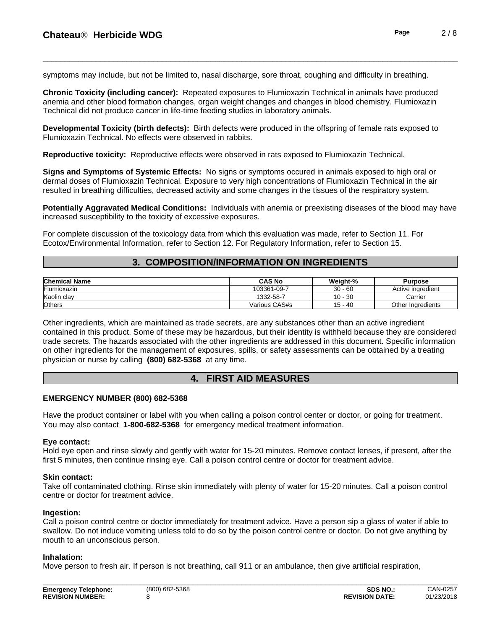symptoms may include, but not be limited to, nasal discharge, sore throat, coughing and difficulty in breathing.

**Chronic Toxicity (including cancer):** Repeated exposures to Flumioxazin Technical in animals have produced anemia and other blood formation changes, organ weight changes and changes in blood chemistry. Flumioxazin Technical did not produce cancer in life-time feeding studies in laboratory animals.

**Developmental Toxicity (birth defects):** Birth defects were produced in the offspring of female rats exposed to Flumioxazin Technical. No effects were observed in rabbits.

**Reproductive toxicity:** Reproductive effects were observed in rats exposed to Flumioxazin Technical.

**Signs and Symptoms of Systemic Effects:** No signs or symptoms occured in animals exposed to high oral or dermal doses of Flumioxazin Technical. Exposure to very high concentrations of Flumioxazin Technical in the air resulted in breathing difficulties, decreased activity and some changes in the tissues of the respiratory system.

**Potentially Aggravated Medical Conditions:** Individuals with anemia or preexisting diseases ofthe blood may have increased susceptibility to the toxicity of excessive exposures.

For complete discussion of the toxicology data from which this evaluation was made, refer to Section 11. For Ecotox/Environmental Information, refer to Section 12.For Regulatory Information, refer to Section 15.

# **3. COMPOSITION/INFORMATION ON INGREDIENTS**

| <b>Chemical Name</b> | CAS No                | Weight-%       | Purpose              |
|----------------------|-----------------------|----------------|----------------------|
| Flumioxazin          | 03361<br>$1 - 09 - 7$ | $30 - 60$      | Active ingredient    |
| Kaolin clay          | 1332-58-7             | . 30<br>$10 -$ | Carrier              |
| Others               | Various CAS#s         | $15 - 40$      | Other<br>Ingredients |

Other ingredients, which are maintained as trade secrets, are any substances other than an active ingredient contained in this product. Some of these may be hazardous, but their identity is withheld because they are considered trade secrets. The hazards associated with the other ingredients are addressed in this document. Specific information on other ingredients for the management of exposures, spills, or safety assessments can be obtained by a treating physician or nurse by calling **(800) 682-5368** at any time.

# **4. FIRST AID MEASURES**

### **EMERGENCY NUMBER (800) 682-5368**

Have the product container or label with you when calling a poison control center or doctor, or going for treatment. You may also contact **1-800-682-5368** for emergency medical treatment information.

#### **Eye contact:**

Hold eye open and rinse slowly and gently with water for 15-20 minutes. Remove contact lenses, if present, after the first 5 minutes, then continue rinsing eye. Call a poison control centre or doctor for treatment advice.

#### **Skin contact:**

Take off contaminated clothing. Rinse skin immediately with plenty of water for 15-20 minutes. Call a poison control centre or doctor for treatment advice.

### **Ingestion:**

Call a poison control centre or doctor immediately for treatment advice. Have a person sip a glass of water if able to swallow. Do not induce vomiting unless told to do so by the poison control centre or doctor. Do not give anything by mouth to an unconscious person.

#### **Inhalation:**

Move person to fresh air. If person is not breathing, call 911 or an ambulance, then give artificial respiration,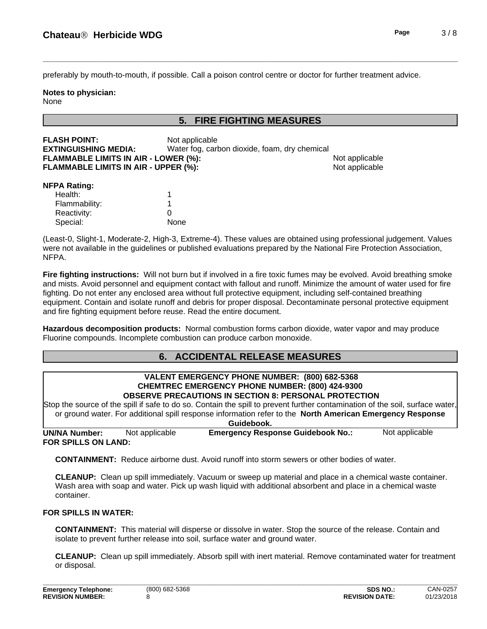preferably by mouth-to-mouth, if possible. Call a poison control centre or doctorfor further treatment advice.

#### **Notes to physician:** None

# **5. FIRE FIGHTING MEASURES**

| <b>FLASH POINT:</b>                         | Not applicable                                |                |
|---------------------------------------------|-----------------------------------------------|----------------|
| <b>EXTINGUISHING MEDIA:</b>                 | Water fog, carbon dioxide, foam, dry chemical |                |
| <b>FLAMMABLE LIMITS IN AIR - LOWER (%):</b> |                                               | Not applicable |
| <b>FLAMMABLE LIMITS IN AIR - UPPER (%):</b> |                                               | Not applicable |
| -------                                     |                                               |                |

#### **NFPA Rating:**

| Health:       |      |  |
|---------------|------|--|
| Flammability: |      |  |
| Reactivity:   |      |  |
| Special:      | None |  |

(Least-0, Slight-1, Moderate-2, High-3, Extreme-4). These values are obtained using professional judgement. Values were not available in the guidelines or published evaluations prepared by the National Fire Protection Association, NFPA.

**Fire fighting instructions:** Will not burn but if involved in a fire toxic fumes may be evolved. Avoid breathing smoke and mists. Avoid personnel and equipment contact with fallout and runoff. Minimize the amount of water used for fire fighting. Do not enterany enclosed area without full protective equipment, including self-contained breathing equipment. Contain and isolate runoff and debris for proper disposal. Decontaminate personal protective equipment and fire fighting equipment before reuse. Read the entire document.

**Hazardous decomposition products:** Normal combustion forms carbon dioxide, water vapor and may produce Fluorine compounds. Incomplete combustion can produce carbon monoxide.

# **6. ACCIDENTAL RELEASE MEASURES**

#### **VALENT EMERGENCY PHONE NUMBER: (800) 682-5368 CHEMTREC EMERGENCY PHONE NUMBER: (800) 424-9300 OBSERVE PRECAUTIONS IN SECTION 8: PERSONAL PROTECTION**

Stop the source of the spill if safe to do so. Contain the spill to prevent further contamination of the soil, surface water, or ground water. For additional spill response information refer to the **North American Emergency Response Guidebook.**

**FOR SPILLS ON LAND: UN/NA Number:** Not applicable **Emergency Response Guidebook No.:** Not applicable

**CONTAINMENT:** Reduce airborne dust. Avoid runoff into storm sewers or other bodies of water.

**CLEANUP:** Clean up spill immediately. Vacuum or sweep up material and place in a chemical waste container. Wash area with soap and water. Pick up wash liquid with additional absorbent and place in a chemical waste container.

### **FOR SPILLS IN WATER:**

**CONTAINMENT:** This material will disperse or dissolve in water. Stop the source of the release. Contain and isolate to prevent further release into soil, surface water and ground water.

**CLEANUP:** Clean up spill immediately. Absorb spill with inert material. Remove contaminated water for treatment or disposal.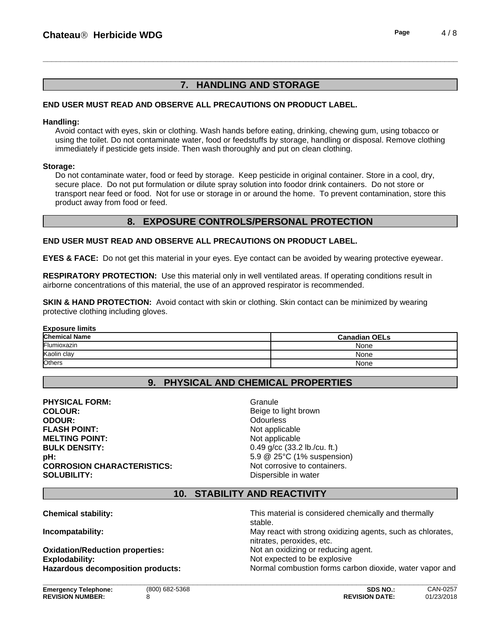# **7. HANDLING AND STORAGE**

### **END USER MUST READ AND OBSERVE ALL PRECAUTIONS ON PRODUCT LABEL.**

#### **Handling:**

Avoid contact with eyes, skin or clothing. Wash hands before eating, drinking, chewing gum, using tobacco or using the toilet. Do not contaminate water, food or feedstuffs by storage, handling or disposal. Remove clothing immediately if pesticide gets inside. Then wash thoroughly and put on clean clothing.

#### **Storage:**

Do not contaminate water, food or feed by storage. Keep pesticide in original container. Store in a cool, dry, secure place. Do not put formulation or dilute spray solution into foodor drink containers. Do not store or transport near feed or food. Not for use or storage in or around the home. To prevent contamination, store this product away from food or feed.

# **8. EXPOSURE CONTROLS/PERSONAL PROTECTION**

#### **END USER MUST READ AND OBSERVE ALL PRECAUTIONS ON PRODUCT LABEL.**

**EYES & FACE:** Do not get this material in your eyes. Eye contact can be avoided by wearing protective eyewear.

**RESPIRATORY PROTECTION:** Use this material only in well ventilated areas. If operating conditions result in airborne concentrations of this material, the use of an approved respirator is recommended.

**SKIN & HAND PROTECTION:** Avoid contact with skin or clothing. Skin contact can be minimized by wearing protective clothing including gloves.

| <b>Exposure limits</b> |                      |  |
|------------------------|----------------------|--|
| <b>Chemical Name</b>   | <b>Canadian OELs</b> |  |
| Flumioxazin            | None                 |  |
| Kaolin clay            | None                 |  |
| Others                 | None                 |  |

# **9. PHYSICAL AND CHEMICAL PROPERTIES**

**PHYSICAL FORM:** Granule **COLOUR:** Beige to light brown **ODOUR:** Odourless **ODOUR:** Odourless **Odourless FLASH POINT:** Not applicable **MELTING POINT:** Not applicable **BULK DENSITY:** 0.49 g/cc (33.2 lb./cu. ft.) **pH:**  $5.9 \& 25^{\circ} \text{C}$  (1% suspension) **CORROSION CHARACTERISTICS:** Not corrosive to containers. **SOLUBILITY:** Dispersible in water

**\_\_\_\_\_\_\_\_\_\_\_\_\_\_\_\_\_\_\_\_\_\_\_\_\_\_\_\_\_\_\_\_\_\_\_\_\_\_\_\_\_\_\_\_\_\_\_\_\_\_\_\_\_\_\_\_\_\_\_\_\_\_\_\_\_\_\_\_\_\_\_\_\_\_\_\_\_\_\_\_\_\_\_\_\_\_\_\_\_\_\_\_\_\_**

# **10. STABILITY AND REACTIVITY**

**Chemical stability:** This material is considered chemically and thermally and thermally

**Oxidation/Reduction properties:** Not an oxidizing or reducing agent. **Explodability:** Not expected to be explosive

stable. **Incompatability:** May react with strong oxidizing agents, such as chlorates, nitrates, peroxides, etc. **Hazardous decomposition products:** Normal combustion forms carbon dioxide, water vapor and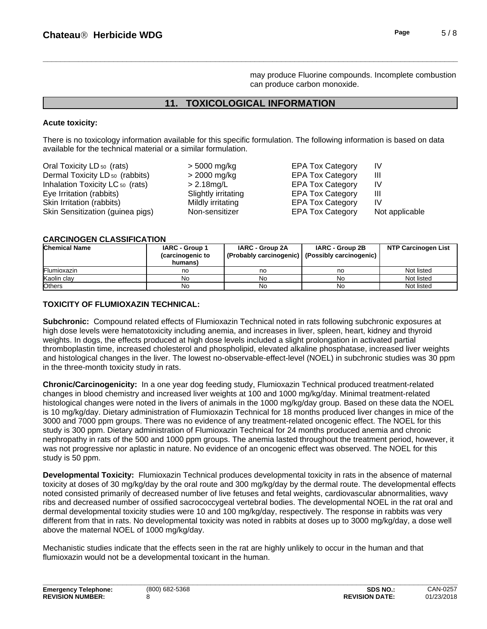may produce Fluorine compounds. Incomplete combustion can produce carbon monoxide.

# **11. TOXICOLOGICAL INFORMATION**

### **Acute toxicity:**

There is no toxicology information available for this specific formulation. The following information is based on data available for the technical material or a similar formulation.

| Oral Toxicity LD <sub>50</sub> (rats)       | $>$ 5000 mg/kg      | <b>EPA Tox Category</b> | IV             |
|---------------------------------------------|---------------------|-------------------------|----------------|
| Dermal Toxicity LD <sub>50</sub> (rabbits)  | $>$ 2000 mg/kg      | <b>EPA Tox Category</b> | Ш              |
| Inhalation Toxicity LC <sub>50</sub> (rats) | $> 2.18$ mg/L       | <b>EPA Tox Category</b> | IV             |
| Eye Irritation (rabbits)                    | Slightly irritating | <b>EPA Tox Category</b> | Ш              |
| Skin Irritation (rabbits)                   | Mildly irritating   | <b>EPA Tox Category</b> | IV             |
| Skin Sensitization (guinea pigs)            | Non-sensitizer      | <b>EPA Tox Category</b> | Not applicable |

#### **CARCINOGEN CLASSIFICATION**

| <b>Chemical Name</b> | IARC - Group 1<br>(carcinogenic to<br>humans) | <b>IARC - Group 2A</b><br>(Probably carcinogenic)   (Possibly carcinogenic) | IARC - Group 2B | <b>NTP Carcinogen List</b> |
|----------------------|-----------------------------------------------|-----------------------------------------------------------------------------|-----------------|----------------------------|
| <b>IFlumioxazin</b>  | no                                            | no                                                                          | no              | Not listed                 |
| Kaolin clav          | No                                            | No                                                                          | No              | Not listed                 |
| <b>l</b> Others      | No                                            | No                                                                          | No              | Not listed                 |

### **TOXICITY OF FLUMIOXAZIN TECHNICAL:**

**Subchronic:** Compound related effects of Flumioxazin Technical noted in rats following subchronic exposures at high dose levels were hematotoxicity including anemia, and increases in liver, spleen, heart, kidney and thyroid weights. In dogs, the effects produced at high dose levels included a slight prolongation in activated partial thromboplastin time, increased cholesterol and phospholipid, elevated alkaline phosphatase, increased liver weights and histological changes in the liver. The lowest no-observable-effect-level (NOEL) in subchronic studies was 30 ppm in the three-month toxicity study in rats.

**Chronic/Carcinogenicity:** In a one year dog feeding study, Flumioxazin Technical produced treatment-related changes in blood chemistry and increased liver weights at 100 and 1000 mg/kg/day. Minimal treatment-related histological changes were noted in the livers of animals in the 1000 mg/kg/day group. Based on these data the NOEL is 10 mg/kg/day. Dietary administration of Flumioxazin Technical for 18 months produced liver changes in mice of the 3000 and 7000 ppm groups. There was no evidence of any treatment-related oncogenic effect. The NOEL for this study is 300 ppm. Dietary administration of Flumioxazin Technical for 24 months produced anemia and chronic nephropathy in rats of the 500 and 1000 ppm groups. The anemia lasted throughout the treatment period, however, it was not progressive nor aplastic in nature. No evidence of an oncogenic effect was observed. The NOEL for this study is 50 ppm.

**Developmental Toxicity:** Flumioxazin Technical produces developmental toxicity in rats in the absence of maternal toxicity at doses of 30 mg/kg/day by the oral route and 300 mg/kg/day by the dermal route. The developmental effects noted consisted primarily of decreased number of live fetuses and fetal weights, cardiovascular abnormalities, wavy ribs and decreased number of ossified sacrococcygeal vertebral bodies. The developmental NOEL in the rat oral and dermal developmental toxicity studies were 10 and 100 mg/kg/day, respectively. The response in rabbits was very different from that in rats. No developmental toxicity was noted in rabbits at doses up to 3000 mg/kg/day, a dose well above the maternal NOEL of 1000 mg/kg/day.

**\_\_\_\_\_\_\_\_\_\_\_\_\_\_\_\_\_\_\_\_\_\_\_\_\_\_\_\_\_\_\_\_\_\_\_\_\_\_\_\_\_\_\_\_\_\_\_\_\_\_\_\_\_\_\_\_\_\_\_\_\_\_\_\_\_\_\_\_\_\_\_\_\_\_\_\_\_\_\_\_\_\_\_\_\_\_\_\_\_\_\_\_\_\_**

Mechanistic studies indicate that the effects seen in the rat are highly unlikely to occur in the human and that flumioxazin would not be a developmental toxicant in the human.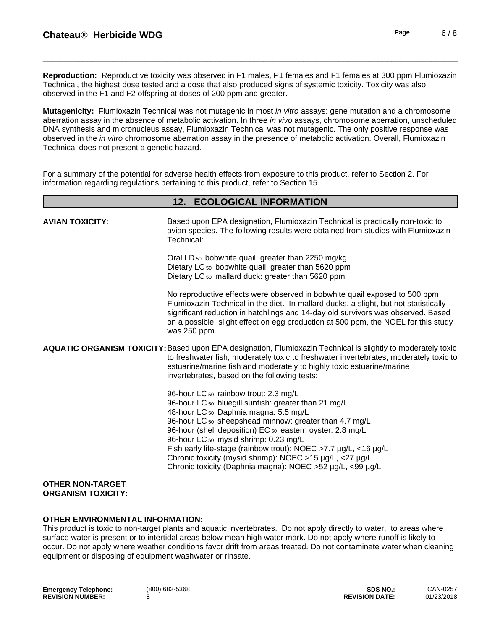**Reproduction:** Reproductive toxicity was observed in F1 males, P1 females and F1 females at 300 ppm Flumioxazin Technical, the highest dose tested and a dose that also produced signs of systemic toxicity. Toxicity was also observed in the F1 and F2 offspring at doses of 200 ppm and greater.

**Mutagenicity:** Flumioxazin Technical was not mutagenic in most *in vitro* assays: gene mutation and a chromosome aberration assay in the absence of metabolic activation. In three *in vivo* assays, chromosome aberration, unscheduled DNA synthesis and micronucleus assay, Flumioxazin Technical was not mutagenic. The only positive response was observed in the *in vitro* chromosome aberration assay in the presence of metabolic activation. Overall, Flumioxazin Technical does not present a genetic hazard.

**12. ECOLOGICAL INFORMATION**

For a summary of the potential for adverse health effects from exposure to this product, refer to Section 2. For information regarding regulations pertaining to this product, refer to Section 15.

| <b>AVIAN TOXICITY:</b>                               | Based upon EPA designation, Flumioxazin Technical is practically non-toxic to<br>avian species. The following results were obtained from studies with Flumioxazin<br>Technical:                                                                                                                                                                                                                                                                                                                    |
|------------------------------------------------------|----------------------------------------------------------------------------------------------------------------------------------------------------------------------------------------------------------------------------------------------------------------------------------------------------------------------------------------------------------------------------------------------------------------------------------------------------------------------------------------------------|
|                                                      | Oral LD <sub>50</sub> bobwhite quail: greater than 2250 mg/kg<br>Dietary LC <sub>50</sub> bobwhite quail: greater than 5620 ppm<br>Dietary LC <sub>50</sub> mallard duck: greater than 5620 ppm                                                                                                                                                                                                                                                                                                    |
|                                                      | No reproductive effects were observed in bobwhite quail exposed to 500 ppm<br>Flumioxazin Technical in the diet. In mallard ducks, a slight, but not statistically<br>significant reduction in hatchlings and 14-day old survivors was observed. Based<br>on a possible, slight effect on egg production at 500 ppm, the NOEL for this study<br>was 250 ppm.                                                                                                                                       |
|                                                      | <b>AQUATIC ORGANISM TOXICITY:</b> Based upon EPA designation, Flumioxazin Technical is slightly to moderately toxic<br>to freshwater fish; moderately toxic to freshwater invertebrates; moderately toxic to<br>estuarine/marine fish and moderately to highly toxic estuarine/marine<br>invertebrates, based on the following tests:                                                                                                                                                              |
|                                                      | 96-hour LC 50 rainbow trout: 2.3 mg/L<br>96-hour LC 50 bluegill sunfish: greater than 21 mg/L<br>48-hour LC 50 Daphnia magna: 5.5 mg/L<br>96-hour LC 50 sheepshead minnow: greater than 4.7 mg/L<br>96-hour (shell deposition) EC 50 eastern oyster: 2.8 mg/L<br>96-hour LC 50 mysid shrimp: 0.23 mg/L<br>Fish early life-stage (rainbow trout): NOEC >7.7 µg/L, <16 µg/L<br>Chronic toxicity (mysid shrimp): NOEC >15 µg/L, <27 µg/L<br>Chronic toxicity (Daphnia magna): NOEC >52 µg/L, <99 µg/L |
| <b>OTHER NON-TARGET</b><br><b>ORGANISM TOXICITY:</b> |                                                                                                                                                                                                                                                                                                                                                                                                                                                                                                    |

### **OTHER ENVIRONMENTAL INFORMATION:**

This product is toxic to non-target plants and aquatic invertebrates. Do not apply directly to water, to areas where surface water is present or to intertidal areas below mean high water mark. Do not apply where runoff is likely to occur. Do not apply where weather conditions favor drift from areas treated. Do not contaminate water when cleaning equipment or disposing of equipment washwater or rinsate.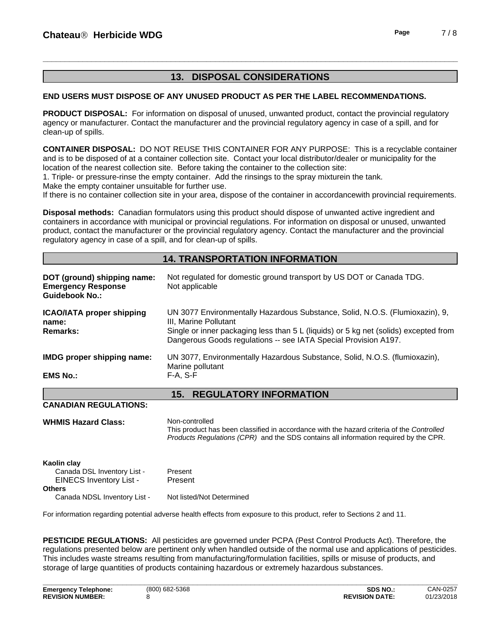# **13. DISPOSAL CONSIDERATIONS**

### **END USERS MUST DISPOSE OF ANY UNUSED PRODUCT AS PER THE LABEL RECOMMENDATIONS.**

**PRODUCT DISPOSAL:** For information on disposal of unused, unwanted product, contact the provincial regulatory agency or manufacturer. Contact the manufacturer and the provincial regulatory agency in case of a spill, and for clean-up of spills.

**CONTAINER DISPOSAL:** DO NOT REUSE THIS CONTAINER FOR ANY PURPOSE: This is a recyclable container and isto be disposed of at a container collection site. Contact your local distributor/dealer or municipality for the location of the nearest collection site. Before taking the container to the collection site:

1. Triple- or pressure-rinse the empty container. Add the rinsings to the spray mixturein the tank.

Make the empty container unsuitable for further use.

If there is no container collection site in your area, dispose of the container in accordancewith provincial requirements.

**Disposal methods:** Canadian formulators using this product should dispose of unwanted active ingredient and containers in accordance with municipal or provincial regulations. For information on disposal or unused, unwanted product, contact the manufacturer or the provincial regulatory agency. Contact the manufacturer and the provincial regulatory agency in case of a spill, and for clean-up of spills.

# **14. TRANSPORTATION INFORMATION**

| DOT (ground) shipping name:<br><b>Emergency Response</b><br><b>Guidebook No.:</b> | Not regulated for domestic ground transport by US DOT or Canada TDG.<br>Not applicable                                                                                                                                                                           |
|-----------------------------------------------------------------------------------|------------------------------------------------------------------------------------------------------------------------------------------------------------------------------------------------------------------------------------------------------------------|
| <b>ICAO/IATA proper shipping</b><br>name:<br><b>Remarks:</b>                      | UN 3077 Environmentally Hazardous Substance, Solid, N.O.S. (Flumioxazin), 9,<br>III. Marine Pollutant<br>Single or inner packaging less than 5 L (liquids) or 5 kg net (solids) excepted from<br>Dangerous Goods regulations -- see IATA Special Provision A197. |
| <b>IMDG</b> proper shipping name:                                                 | UN 3077, Environmentally Hazardous Substance, Solid, N.O.S. (flumioxazin),<br>Marine pollutant                                                                                                                                                                   |
| <b>EMS No.:</b>                                                                   | $F-A, S-F$                                                                                                                                                                                                                                                       |
|                                                                                   | <b>REGULATORY INFORMATION</b><br>15.                                                                                                                                                                                                                             |

### **CANADIAN REGULATIONS:**

| <b>WHMIS Hazard Class:</b> | Non-controlled |
|----------------------------|----------------|
|                            |                |

This product has been classified in accordance with the hazard criteria of the *Controlled Products Regulations (CPR)* and the SDS contains all information required by the CPR.

**\_\_\_\_\_\_\_\_\_\_\_\_\_\_\_\_\_\_\_\_\_\_\_\_\_\_\_\_\_\_\_\_\_\_\_\_\_\_\_\_\_\_\_\_\_\_\_\_\_\_\_\_\_\_\_\_\_\_\_\_\_\_\_\_\_\_\_\_\_\_\_\_\_\_\_\_\_\_\_\_\_\_\_\_\_\_\_\_\_\_\_\_\_\_**

| Kaolin clay                    |                           |
|--------------------------------|---------------------------|
| Canada DSL Inventory List -    | Present                   |
| <b>EINECS Inventory List -</b> | Present                   |
| <b>Others</b>                  |                           |
| Canada NDSL Inventory List -   | Not listed/Not Determined |

For information regarding potential adverse health effects from exposure to this product, refer to Sections 2 and 11.

**PESTICIDE REGULATIONS:** All pesticides are governed under PCPA (Pest Control Products Act). Therefore, the regulations presented below are pertinent only when handled outside of the normal use and applications of pesticides. This includes waste streams resulting from manufacturing/formulation facilities, spills or misuse of products, and storage of large quantities of products containing hazardous or extremely hazardous substances.